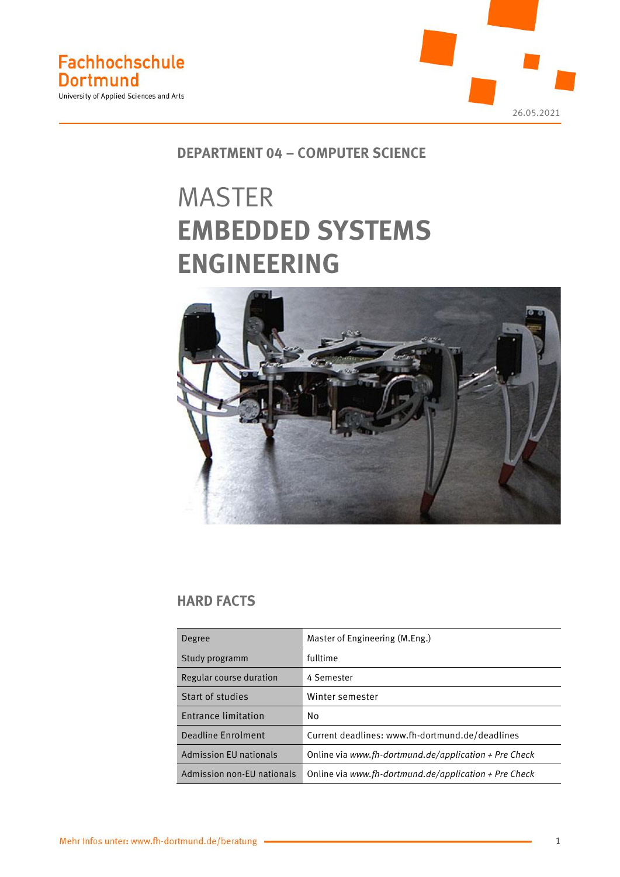

# **DEPARTMENT 04 – COMPUTER SCIENCE**

# MASTER **EMBEDDED SYSTEMS ENGINEERING**



# **HARD FACTS**

| Degree                        | Master of Engineering (M.Eng.)                        |  |  |
|-------------------------------|-------------------------------------------------------|--|--|
| Study programm                | fulltime                                              |  |  |
| Regular course duration       | 4 Semester                                            |  |  |
| Start of studies              | Winter semester                                       |  |  |
| Entrance limitation           | No                                                    |  |  |
| Deadline Enrolment            | Current deadlines: www.fh-dortmund.de/deadlines       |  |  |
| <b>Admission EU nationals</b> | Online via www.fh-dortmund.de/application + Pre Check |  |  |
| Admission non-EU nationals    | Online via www.fh-dortmund.de/application + Pre Check |  |  |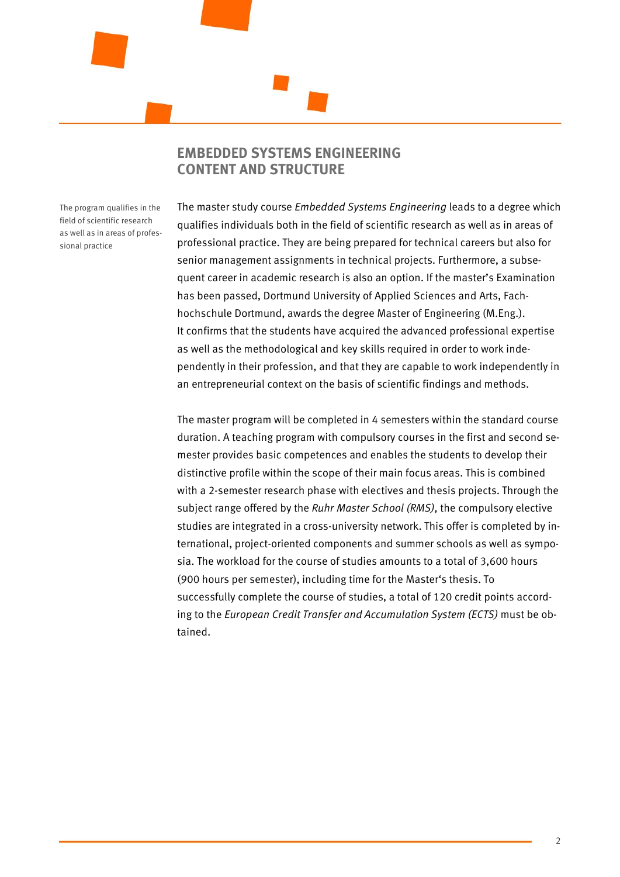## **EMBEDDED SYSTEMS ENGINEERING CONTENT AND STRUCTURE**

The program qualifies in the field of scientific research as well as in areas of professional practice

The master study course *Embedded Systems Engineering* leads to a degree which qualifies individuals both in the field of scientific research as well as in areas of professional practice. They are being prepared for technical careers but also for senior management assignments in technical projects. Furthermore, a subsequent career in academic research is also an option. If the master's Examination has been passed, Dortmund University of Applied Sciences and Arts, Fachhochschule Dortmund, awards the degree Master of Engineering (M.Eng.). It confirms that the students have acquired the advanced professional expertise as well as the methodological and key skills required in order to work independently in their profession, and that they are capable to work independently in an entrepreneurial context on the basis of scientific findings and methods.

The master program will be completed in 4 semesters within the standard course duration. A teaching program with compulsory courses in the first and second semester provides basic competences and enables the students to develop their distinctive profile within the scope of their main focus areas. This is combined with a 2-semester research phase with electives and thesis projects. Through the subject range offered by the *Ruhr Master School (RMS)*, the compulsory elective studies are integrated in a cross-university network. This offer is completed by international, project-oriented components and summer schools as well as symposia. The workload for the course of studies amounts to a total of 3,600 hours (900 hours per semester), including time for the Master's thesis. To successfully complete the course of studies, a total of 120 credit points according to the *European Credit Transfer and Accumulation System (ECTS)* must be obtained.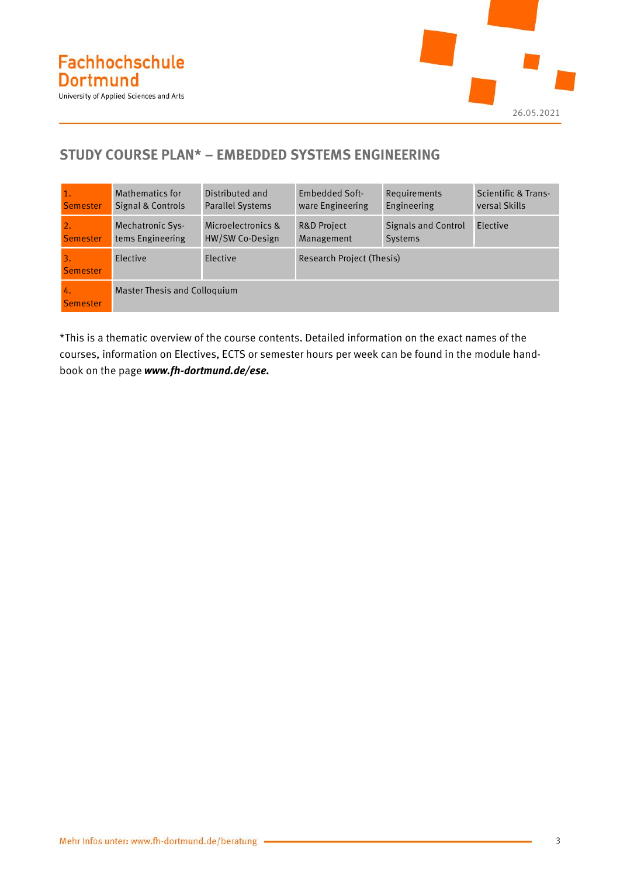

# **STUDY COURSE PLAN\* – EMBEDDED SYSTEMS ENGINEERING**

| 1.                                  | Mathematics for                     | Distributed and         | <b>Embedded Soft-</b>     | Requirements               | Scientific & Trans- |  |
|-------------------------------------|-------------------------------------|-------------------------|---------------------------|----------------------------|---------------------|--|
| <b>Semester</b>                     | Signal & Controls                   | <b>Parallel Systems</b> | ware Engineering          | Engineering                | versal Skills       |  |
| 2.                                  | <b>Mechatronic Sys-</b>             | Microelectronics &      | <b>R&amp;D Project</b>    | <b>Signals and Control</b> | Elective            |  |
| <b>Semester</b>                     | tems Engineering                    | HW/SW Co-Design         | Management                | <b>Systems</b>             |                     |  |
| $\overline{3}$ .<br><b>Semester</b> | Elective                            | Elective                | Research Project (Thesis) |                            |                     |  |
| Ч.<br>Semester                      | <b>Master Thesis and Colloguium</b> |                         |                           |                            |                     |  |

\*This is a thematic overview of the course contents. Detailed information on the exact names of the courses, information on Electives, ECTS or semester hours per week can be found in the module handbook on the page *www.fh-dortmund.de/ese.*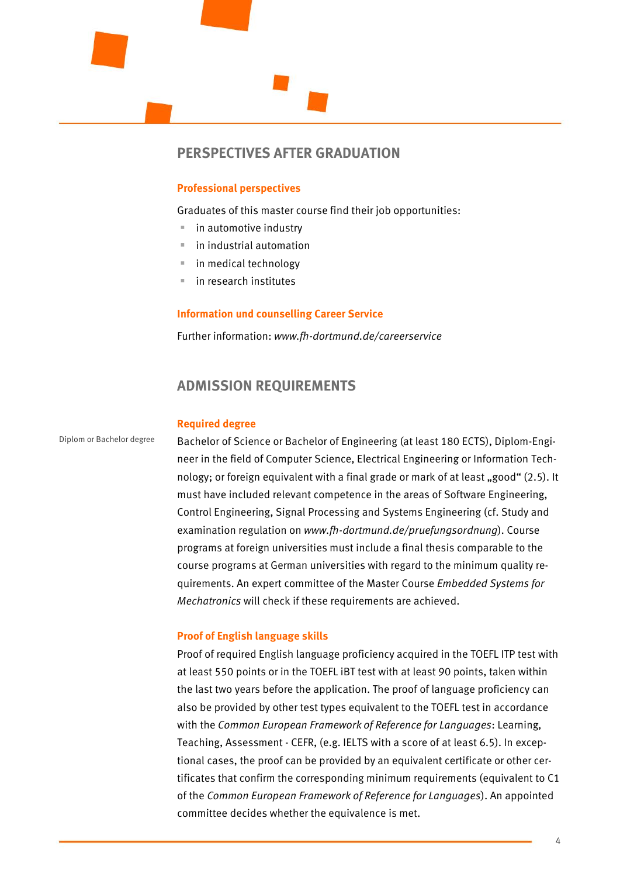

## **PERSPECTIVES AFTER GRADUATION**

#### **Professional perspectives**

Graduates of this master course find their job opportunities:

- in automotive industry
- in industrial automation
- in medical technology
- in research institutes

#### **Information und counselling Career Service**

Further information: *www.fh-dortmund.de/careerservice*

## **ADMISSION REQUIREMENTS**

#### **Required degree**

Diplom or Bachelor degree

Bachelor of Science or Bachelor of Engineering (at least 180 ECTS), Diplom-Engineer in the field of Computer Science, Electrical Engineering or Information Technology; or foreign equivalent with a final grade or mark of at least "good" (2.5). It must have included relevant competence in the areas of Software Engineering, Control Engineering, Signal Processing and Systems Engineering (cf. Study and examination regulation on *www.fh-dortmund.de/pruefungsordnung*). Course programs at foreign universities must include a final thesis comparable to the course programs at German universities with regard to the minimum quality requirements. An expert committee of the Master Course *Embedded Systems for Mechatronics* will check if these requirements are achieved.

#### **Proof of English language skills**

Proof of required English language proficiency acquired in the TOEFL ITP test with at least 550 points or in the TOEFL iBT test with at least 90 points, taken within the last two years before the application. The proof of language proficiency can also be provided by other test types equivalent to the TOEFL test in accordance with the *Common European Framework of Reference for Languages*: Learning, Teaching, Assessment - CEFR, (e.g. IELTS with a score of at least 6.5). In exceptional cases, the proof can be provided by an equivalent certificate or other certificates that confirm the corresponding minimum requirements (equivalent to C1 of the *Common European Framework of Reference for Languages*). An appointed committee decides whether the equivalence is met.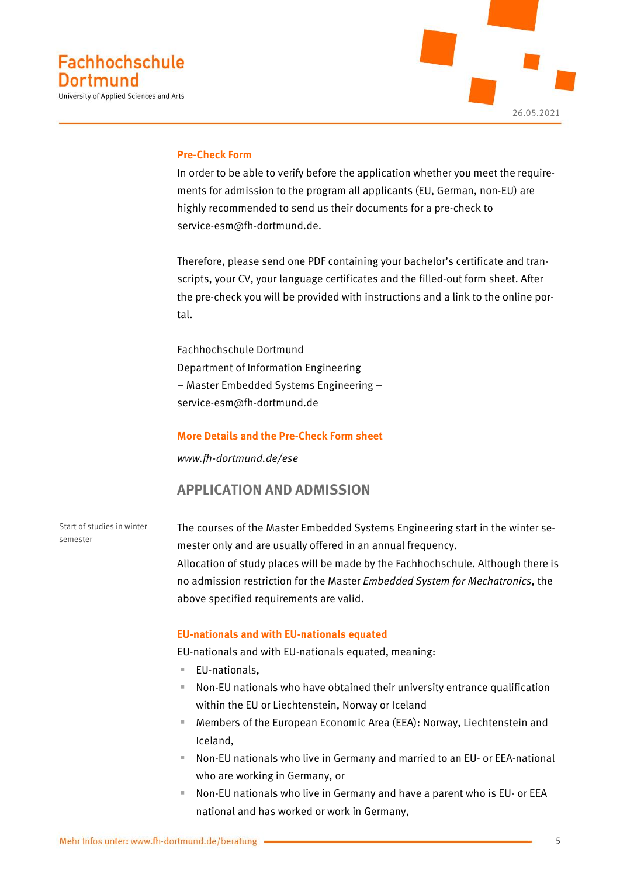

#### **Pre-Check Form**

In order to be able to verify before the application whether you meet the requirements for admission to the program all applicants (EU, German, non-EU) are highly recommended to send us their documents for a pre-check to [service-esm@fh-dortmund.de.](mailto:service-esm@fh-dortmund.de)

Therefore, please send one PDF containing your bachelor's certificate and transcripts, your CV, your language certificates and the filled-out form sheet. After the pre-check you will be provided with instructions and a link to the online portal.

Fachhochschule Dortmund Department of Information Engineering – Master Embedded Systems Engineering – service-esm@fh-dortmund.de

#### **More Details and the Pre-Check Form sheet**

*www.fh-dortmund.de/ese*

## **APPLICATION AND ADMISSION**

Start of studies in winter semester

The courses of the Master Embedded Systems Engineering start in the winter semester only and are usually offered in an annual frequency. Allocation of study places will be made by the Fachhochschule. Although there is no admission restriction for the Master *Embedded System for Mechatronics*, the above specified requirements are valid.

#### **EU-nationals and with EU-nationals equated**

EU-nationals and with EU-nationals equated, meaning:

- EU-nationals.
- Non-EU nationals who have obtained their university entrance qualification within the EU or Liechtenstein, Norway or Iceland
- **E** Members of the European Economic Area (EEA): Norway, Liechtenstein and Iceland,
- Non-EU nationals who live in Germany and married to an EU- or EEA-national who are working in Germany, or
- Non-EU nationals who live in Germany and have a parent who is EU- or EEA national and has worked or work in Germany,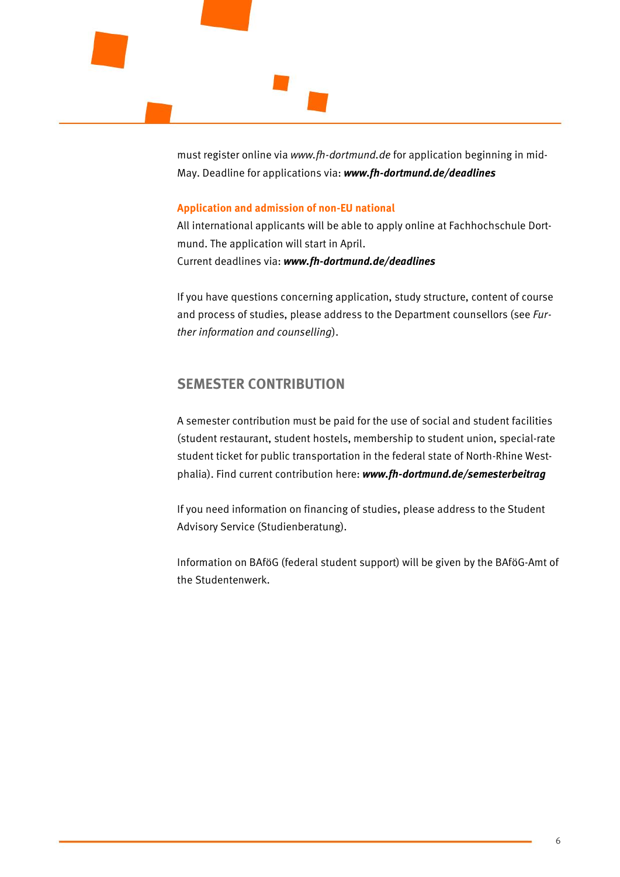must register online via *www.fh-dortmund.de* for application beginning in mid-May. Deadline for applications via: *www.fh-dortmund.de/deadlines*

#### **Application and admission of non-EU national**

All international applicants will be able to apply online at Fachhochschule Dortmund. The application will start in April. Current deadlines via: *www.fh-dortmund.de/deadlines*

If you have questions concerning application, study structure, content of course and process of studies, please address to the Department counsellors (see *Further information and counselling*).

## **SEMESTER CONTRIBUTION**

A semester contribution must be paid for the use of social and student facilities (student restaurant, student hostels, membership to student union, special-rate student ticket for public transportation in the federal state of North-Rhine Westphalia). Find current contribution here: *www.fh-dortmund.de/semesterbeitrag*

If you need information on financing of studies, please address to the Student Advisory Service (Studienberatung).

Information on BAföG (federal student support) will be given by the BAföG-Amt of the Studentenwerk.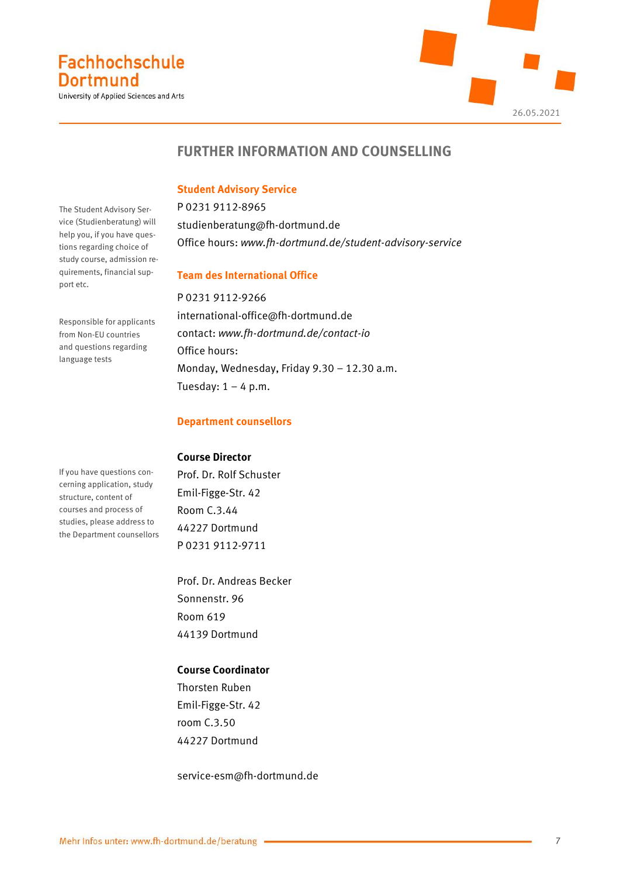University of Applied Sciences and Arts



# **FURTHER INFORMATION AND COUNSELLING**

### **Student Advisory Service**

P 0231 9112-8965 [studienberatung@fh-dortmund.de](mailto:studienberatung@fh-dortmund.de) Office hours: *www.fh-dortmund.de/student-advisory-service*

#### **Team des International Office**

P 0231 9112-9266 [international-office@fh-dortmund.de](mailto:international-office@fh-dortmund.de) contact: *[www.fh-dortmund.de/contact-io](http://www.fh-dortmund.de/contact-io)* Office hours: Monday, Wednesday, Friday 9.30 – 12.30 a.m. Tuesday:  $1 - 4$  p.m.

#### **Department counsellors**

#### **Course Director**

Prof. Dr. Rolf Schuster Emil-Figge-Str. 42 Room C.3.44 44227 Dortmund P 0231 9112-9711

Prof. Dr. Andreas Becker Sonnenstr. 96 Room 619 44139 Dortmund

#### **Course Coordinator**

Thorsten Ruben Emil-Figge-Str. 42 room C.3.50 44227 Dortmund

service-esm@fh-dortmund.de

The Student Advisory Service (Studienberatung) will help you, if you have questions regarding choice of study course, admission requirements, financial support etc.

Responsible for applicants from Non-EU countries and questions regarding language tests

If you have questions concerning application, study structure, content of courses and process of studies, please address to the Department counsellors